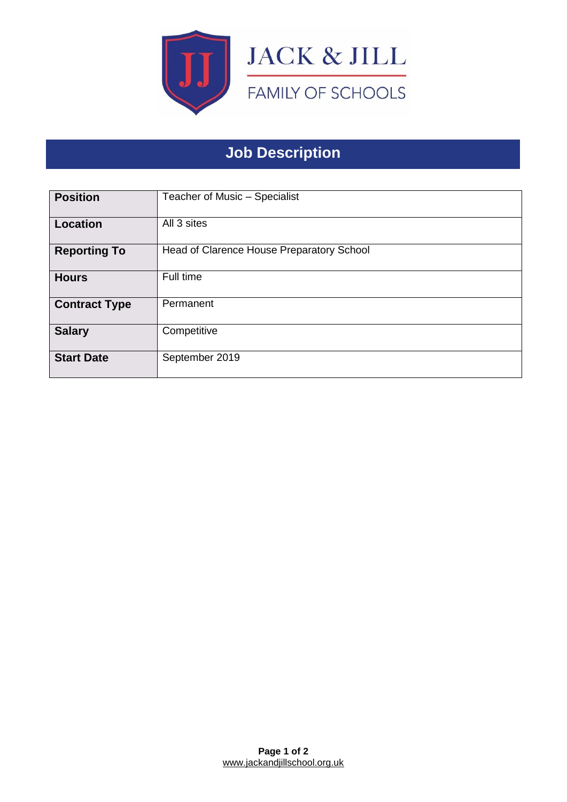

# **Job Description**

| <b>Position</b>      | Teacher of Music - Specialist             |
|----------------------|-------------------------------------------|
| <b>Location</b>      | All 3 sites                               |
| <b>Reporting To</b>  | Head of Clarence House Preparatory School |
| <b>Hours</b>         | Full time                                 |
| <b>Contract Type</b> | Permanent                                 |
| <b>Salary</b>        | Competitive                               |
| <b>Start Date</b>    | September 2019                            |